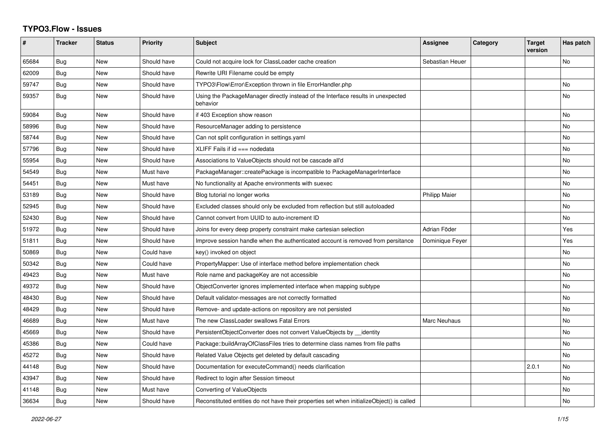## **TYPO3.Flow - Issues**

| #     | <b>Tracker</b> | <b>Status</b> | Priority    | <b>Subject</b>                                                                               | <b>Assignee</b>      | <b>Category</b> | <b>Target</b><br>version | Has patch      |
|-------|----------------|---------------|-------------|----------------------------------------------------------------------------------------------|----------------------|-----------------|--------------------------|----------------|
| 65684 | <b>Bug</b>     | New           | Should have | Could not acquire lock for ClassLoader cache creation                                        | Sebastian Heuer      |                 |                          | No             |
| 62009 | Bug            | <b>New</b>    | Should have | Rewrite URI Filename could be empty                                                          |                      |                 |                          |                |
| 59747 | Bug            | New           | Should have | TYPO3\Flow\Error\Exception thrown in file ErrorHandler.php                                   |                      |                 |                          | No             |
| 59357 | <b>Bug</b>     | New           | Should have | Using the PackageManager directly instead of the Interface results in unexpected<br>behavior |                      |                 |                          | No.            |
| 59084 | Bug            | <b>New</b>    | Should have | if 403 Exception show reason                                                                 |                      |                 |                          | No             |
| 58996 | <b>Bug</b>     | <b>New</b>    | Should have | ResourceManager adding to persistence                                                        |                      |                 |                          | N <sub>o</sub> |
| 58744 | Bug            | New           | Should have | Can not split configuration in settings yaml                                                 |                      |                 |                          | No             |
| 57796 | <b>Bug</b>     | <b>New</b>    | Should have | $XLIFF$ Fails if $id ==$ nodedata                                                            |                      |                 |                          | No             |
| 55954 | Bug            | New           | Should have | Associations to ValueObjects should not be cascade all'd                                     |                      |                 |                          | No.            |
| 54549 | Bug            | New           | Must have   | PackageManager::createPackage is incompatible to PackageManagerInterface                     |                      |                 |                          | No.            |
| 54451 | Bug            | <b>New</b>    | Must have   | No functionality at Apache environments with suexec                                          |                      |                 |                          | No             |
| 53189 | Bug            | <b>New</b>    | Should have | Blog tutorial no longer works                                                                | <b>Philipp Maier</b> |                 |                          | N <sub>o</sub> |
| 52945 | Bug            | New           | Should have | Excluded classes should only be excluded from reflection but still autoloaded                |                      |                 |                          | No             |
| 52430 | <b>Bug</b>     | <b>New</b>    | Should have | Cannot convert from UUID to auto-increment ID                                                |                      |                 |                          | No             |
| 51972 | Bug            | New           | Should have | Joins for every deep property constraint make cartesian selection                            | Adrian Föder         |                 |                          | Yes            |
| 51811 | <b>Bug</b>     | New           | Should have | Improve session handle when the authenticated account is removed from persitance             | Dominique Feyer      |                 |                          | Yes            |
| 50869 | Bug            | New           | Could have  | key() invoked on object                                                                      |                      |                 |                          | No             |
| 50342 | Bug            | <b>New</b>    | Could have  | PropertyMapper: Use of interface method before implementation check                          |                      |                 |                          | <b>No</b>      |
| 49423 | Bug            | New           | Must have   | Role name and packageKey are not accessible                                                  |                      |                 |                          | No             |
| 49372 | Bug            | <b>New</b>    | Should have | ObjectConverter ignores implemented interface when mapping subtype                           |                      |                 |                          | No             |
| 48430 | Bug            | <b>New</b>    | Should have | Default validator-messages are not correctly formatted                                       |                      |                 |                          | <b>No</b>      |
| 48429 | <b>Bug</b>     | <b>New</b>    | Should have | Remove- and update-actions on repository are not persisted                                   |                      |                 |                          | N <sub>o</sub> |
| 46689 | Bug            | New           | Must have   | The new ClassLoader swallows Fatal Errors                                                    | Marc Neuhaus         |                 |                          | No             |
| 45669 | <b>Bug</b>     | <b>New</b>    | Should have | PersistentObjectConverter does not convert ValueObjects by _identity                         |                      |                 |                          | N <sub>o</sub> |
| 45386 | Bug            | New           | Could have  | Package::buildArrayOfClassFiles tries to determine class names from file paths               |                      |                 |                          | No             |
| 45272 | <b>Bug</b>     | <b>New</b>    | Should have | Related Value Objects get deleted by default cascading                                       |                      |                 |                          | N <sub>o</sub> |
| 44148 | Bug            | <b>New</b>    | Should have | Documentation for executeCommand() needs clarification                                       |                      |                 | 2.0.1                    | No             |
| 43947 | Bug            | <b>New</b>    | Should have | Redirect to login after Session timeout                                                      |                      |                 |                          | N <sub>o</sub> |
| 41148 | Bug            | New           | Must have   | Converting of ValueObjects                                                                   |                      |                 |                          | No             |
| 36634 | Bug            | <b>New</b>    | Should have | Reconstituted entities do not have their properties set when initializeObject() is called    |                      |                 |                          | No.            |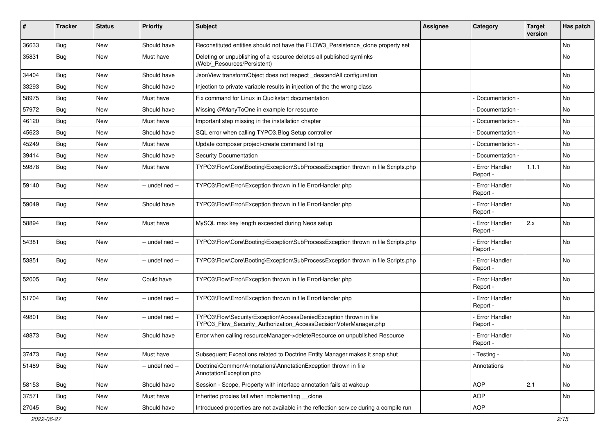| #     | <b>Tracker</b> | <b>Status</b> | <b>Priority</b> | <b>Subject</b>                                                                                                                         | <b>Assignee</b> | Category                         | <b>Target</b><br>version | Has patch |
|-------|----------------|---------------|-----------------|----------------------------------------------------------------------------------------------------------------------------------------|-----------------|----------------------------------|--------------------------|-----------|
| 36633 | Bug            | New           | Should have     | Reconstituted entities should not have the FLOW3_Persistence_clone property set                                                        |                 |                                  |                          | No        |
| 35831 | <b>Bug</b>     | New           | Must have       | Deleting or unpublishing of a resource deletes all published symlinks<br>(Web/ Resources/Persistent)                                   |                 |                                  |                          | No        |
| 34404 | Bug            | <b>New</b>    | Should have     | JsonView transformObject does not respect_descendAll configuration                                                                     |                 |                                  |                          | No        |
| 33293 | <b>Bug</b>     | <b>New</b>    | Should have     | Injection to private variable results in injection of the the wrong class                                                              |                 |                                  |                          | No.       |
| 58975 | <b>Bug</b>     | New           | Must have       | Fix command for Linux in Qucikstart documentation                                                                                      |                 | Documentation -                  |                          | <b>No</b> |
| 57972 | <b>Bug</b>     | New           | Should have     | Missing @ManyToOne in example for resource                                                                                             |                 | Documentation -                  |                          | No        |
| 46120 | <b>Bug</b>     | New           | Must have       | Important step missing in the installation chapter                                                                                     |                 | Documentation -                  |                          | No        |
| 45623 | Bug            | New           | Should have     | SQL error when calling TYPO3.Blog Setup controller                                                                                     |                 | Documentation -                  |                          | No        |
| 45249 | <b>Bug</b>     | New           | Must have       | Update composer project-create command listing                                                                                         |                 | Documentation -                  |                          | No.       |
| 39414 | Bug            | New           | Should have     | <b>Security Documentation</b>                                                                                                          |                 | Documentation -                  |                          | No        |
| 59878 | <b>Bug</b>     | <b>New</b>    | Must have       | TYPO3\Flow\Core\Booting\Exception\SubProcessException thrown in file Scripts.php                                                       |                 | - Error Handler<br>Report -      | 1.1.1                    | No.       |
| 59140 | <b>Bug</b>     | New           | -- undefined -- | TYPO3\Flow\Error\Exception thrown in file ErrorHandler.php                                                                             |                 | <b>Error Handler</b><br>Report - |                          | No        |
| 59049 | <b>Bug</b>     | <b>New</b>    | Should have     | TYPO3\Flow\Error\Exception thrown in file ErrorHandler.php                                                                             |                 | <b>Error Handler</b><br>Report - |                          | No        |
| 58894 | <b>Bug</b>     | New           | Must have       | MySQL max key length exceeded during Neos setup                                                                                        |                 | - Error Handler<br>Report -      | 2.x                      | No        |
| 54381 | <b>Bug</b>     | <b>New</b>    | -- undefined -- | TYPO3\Flow\Core\Booting\Exception\SubProcessException thrown in file Scripts.php                                                       |                 | <b>Error Handler</b><br>Report - |                          | No        |
| 53851 | Bug            | <b>New</b>    | -- undefined -- | TYPO3\Flow\Core\Booting\Exception\SubProcessException thrown in file Scripts.php                                                       |                 | - Error Handler<br>Report -      |                          | <b>No</b> |
| 52005 | <b>Bug</b>     | New           | Could have      | TYPO3\Flow\Error\Exception thrown in file ErrorHandler.php                                                                             |                 | <b>Error Handler</b><br>Report - |                          | No        |
| 51704 | <b>Bug</b>     | <b>New</b>    | -- undefined -- | TYPO3\Flow\Error\Exception thrown in file ErrorHandler.php                                                                             |                 | - Error Handler<br>Report -      |                          | <b>No</b> |
| 49801 | Bug            | <b>New</b>    | -- undefined -- | TYPO3\Flow\Security\Exception\AccessDeniedException thrown in file<br>TYPO3_Flow_Security_Authorization_AccessDecisionVoterManager.php |                 | <b>Error Handler</b><br>Report - |                          | <b>No</b> |
| 48873 | <b>Bug</b>     | <b>New</b>    | Should have     | Error when calling resourceManager->deleteResource on unpublished Resource                                                             |                 | <b>Error Handler</b><br>Report - |                          | No        |
| 37473 | <b>Bug</b>     | New           | Must have       | Subsequent Exceptions related to Doctrine Entity Manager makes it snap shut                                                            |                 | - Testing -                      |                          | No        |
| 51489 | Bug            | New           | -- undefined -- | Doctrine\Common\Annotations\AnnotationException thrown in file<br>AnnotationException.php                                              |                 | Annotations                      |                          | No        |
| 58153 | Bug            | New           | Should have     | Session - Scope, Property with interface annotation fails at wakeup                                                                    |                 | <b>AOP</b>                       | 2.1                      | No        |
| 37571 | <b>Bug</b>     | New           | Must have       | Inherited proxies fail when implementing __clone                                                                                       |                 | <b>AOP</b>                       |                          | No        |
| 27045 | <b>Bug</b>     | New           | Should have     | Introduced properties are not available in the reflection service during a compile run                                                 |                 | <b>AOP</b>                       |                          |           |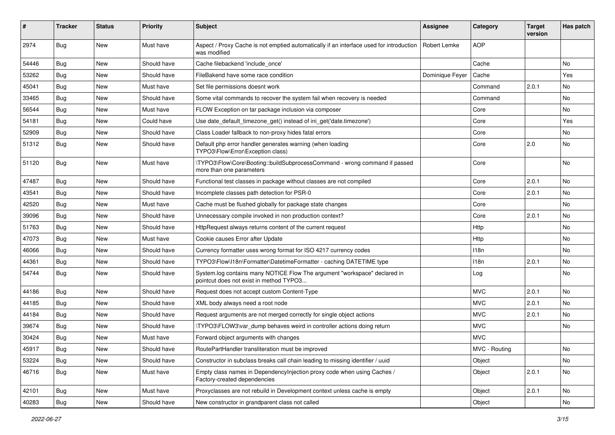| #     | Tracker    | <b>Status</b> | <b>Priority</b> | <b>Subject</b>                                                                                                       | Assignee        | Category      | <b>Target</b><br>version | Has patch |
|-------|------------|---------------|-----------------|----------------------------------------------------------------------------------------------------------------------|-----------------|---------------|--------------------------|-----------|
| 2974  | <b>Bug</b> | New           | Must have       | Aspect / Proxy Cache is not emptied automatically if an interface used for introduction<br>was modified              | Robert Lemke    | <b>AOP</b>    |                          |           |
| 54446 | Bug        | New           | Should have     | Cache filebackend 'include once'                                                                                     |                 | Cache         |                          | No        |
| 53262 | <b>Bug</b> | <b>New</b>    | Should have     | FileBakend have some race condition                                                                                  | Dominique Feyer | Cache         |                          | Yes       |
| 45041 | Bug        | New           | Must have       | Set file permissions doesnt work                                                                                     |                 | Command       | 2.0.1                    | No        |
| 33465 | <b>Bug</b> | New           | Should have     | Some vital commands to recover the system fail when recovery is needed                                               |                 | Command       |                          | No.       |
| 56544 | <b>Bug</b> | New           | Must have       | FLOW Exception on tar package inclusion via composer                                                                 |                 | Core          |                          | No        |
| 54181 | <b>Bug</b> | New           | Could have      | Use date_default_timezone_get() instead of ini_get('date.timezone')                                                  |                 | Core          |                          | Yes       |
| 52909 | Bug        | New           | Should have     | Class Loader fallback to non-proxy hides fatal errors                                                                |                 | Core          |                          | No        |
| 51312 | <b>Bug</b> | New           | Should have     | Default php error handler generates warning (when loading<br>TYPO3\Flow\Error\Exception class)                       |                 | Core          | 2.0                      | No        |
| 51120 | <b>Bug</b> | <b>New</b>    | Must have       | \TYPO3\Flow\Core\Booting::buildSubprocessCommand - wrong command if passed<br>more than one parameters               |                 | Core          |                          | <b>No</b> |
| 47487 | Bug        | <b>New</b>    | Should have     | Functional test classes in package without classes are not compiled                                                  |                 | Core          | 2.0.1                    | No        |
| 43541 | <b>Bug</b> | New           | Should have     | Incomplete classes path detection for PSR-0                                                                          |                 | Core          | 2.0.1                    | No        |
| 42520 | <b>Bug</b> | New           | Must have       | Cache must be flushed globally for package state changes                                                             |                 | Core          |                          | No.       |
| 39096 | Bug        | New           | Should have     | Unnecessary compile invoked in non production context?                                                               |                 | Core          | 2.0.1                    | No        |
| 51763 | Bug        | New           | Should have     | HttpRequest always returns content of the current request                                                            |                 | Http          |                          | No.       |
| 47073 | <b>Bug</b> | New           | Must have       | Cookie causes Error after Update                                                                                     |                 | Http          |                          | No        |
| 46066 | <b>Bug</b> | New           | Should have     | Currency formatter uses wrong format for ISO 4217 currency codes                                                     |                 | 118n          |                          | No        |
| 44361 | Bug        | New           | Should have     | TYPO3\Flow\I18n\Formatter\DatetimeFormatter - caching DATETIME type                                                  |                 | 118n          | 2.0.1                    | No        |
| 54744 | <b>Bug</b> | New           | Should have     | System.log contains many NOTICE Flow The argument "workspace" declared in<br>pointcut does not exist in method TYPO3 |                 | Log           |                          | No        |
| 44186 | Bug        | New           | Should have     | Request does not accept custom Content-Type                                                                          |                 | <b>MVC</b>    | 2.0.1                    | No        |
| 44185 | Bug        | New           | Should have     | XML body always need a root node                                                                                     |                 | <b>MVC</b>    | 2.0.1                    | No        |
| 44184 | Bug        | New           | Should have     | Request arguments are not merged correctly for single object actions                                                 |                 | <b>MVC</b>    | 2.0.1                    | No        |
| 39674 | Bug        | New           | Should have     | \TYPO3\FLOW3\var_dump behaves weird in controller actions doing return                                               |                 | <b>MVC</b>    |                          | No.       |
| 30424 | <b>Bug</b> | New           | Must have       | Forward object arguments with changes                                                                                |                 | <b>MVC</b>    |                          |           |
| 45917 | <b>Bug</b> | New           | Should have     | RoutePartHandler transliteration must be improved                                                                    |                 | MVC - Routing |                          | NO.       |
| 53224 | Bug        | New           | Should have     | Constructor in subclass breaks call chain leading to missing identifier / uuid                                       |                 | Object        |                          | No        |
| 46716 | Bug        | New           | Must have       | Empty class names in Dependencylnjection proxy code when using Caches /<br>Factory-created dependencies              |                 | Object        | 2.0.1                    | No        |
| 42101 | Bug        | New           | Must have       | Proxyclasses are not rebuild in Development context unless cache is empty                                            |                 | Object        | 2.0.1                    | No        |
| 40283 | <b>Bug</b> | New           | Should have     | New constructor in grandparent class not called                                                                      |                 | Object        |                          | No        |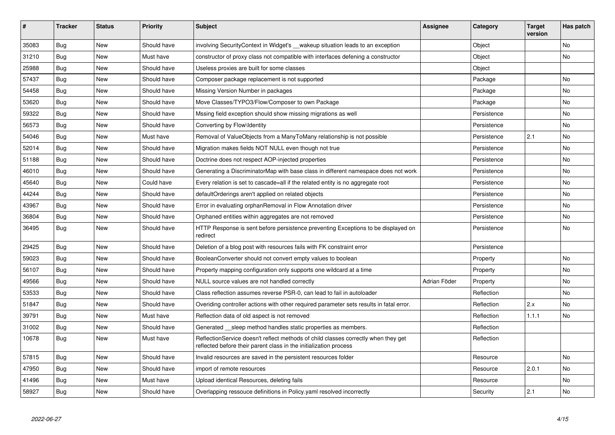| $\vert$ # | <b>Tracker</b> | <b>Status</b> | <b>Priority</b> | <b>Subject</b>                                                                                                                                          | <b>Assignee</b> | Category    | <b>Target</b><br>version | Has patch |
|-----------|----------------|---------------|-----------------|---------------------------------------------------------------------------------------------------------------------------------------------------------|-----------------|-------------|--------------------------|-----------|
| 35083     | Bug            | <b>New</b>    | Should have     | involving SecurityContext in Widget's wakeup situation leads to an exception                                                                            |                 | Object      |                          | <b>No</b> |
| 31210     | Bug            | <b>New</b>    | Must have       | constructor of proxy class not compatible with interfaces defening a constructor                                                                        |                 | Object      |                          | No        |
| 25988     | Bug            | <b>New</b>    | Should have     | Useless proxies are built for some classes                                                                                                              |                 | Object      |                          |           |
| 57437     | Bug            | <b>New</b>    | Should have     | Composer package replacement is not supported                                                                                                           |                 | Package     |                          | No        |
| 54458     | <b>Bug</b>     | <b>New</b>    | Should have     | Missing Version Number in packages                                                                                                                      |                 | Package     |                          | <b>No</b> |
| 53620     | <b>Bug</b>     | <b>New</b>    | Should have     | Move Classes/TYPO3/Flow/Composer to own Package                                                                                                         |                 | Package     |                          | No        |
| 59322     | Bug            | <b>New</b>    | Should have     | Mssing field exception should show missing migrations as well                                                                                           |                 | Persistence |                          | <b>No</b> |
| 56573     | <b>Bug</b>     | New           | Should have     | Converting by Flow\Identity                                                                                                                             |                 | Persistence |                          | <b>No</b> |
| 54046     | Bug            | <b>New</b>    | Must have       | Removal of ValueObjects from a ManyToMany relationship is not possible                                                                                  |                 | Persistence | 2.1                      | <b>No</b> |
| 52014     | Bug            | <b>New</b>    | Should have     | Migration makes fields NOT NULL even though not true                                                                                                    |                 | Persistence |                          | No        |
| 51188     | Bug            | <b>New</b>    | Should have     | Doctrine does not respect AOP-injected properties                                                                                                       |                 | Persistence |                          | <b>No</b> |
| 46010     | Bug            | <b>New</b>    | Should have     | Generating a DiscriminatorMap with base class in different namespace does not work                                                                      |                 | Persistence |                          | <b>No</b> |
| 45640     | <b>Bug</b>     | <b>New</b>    | Could have      | Every relation is set to cascade=all if the related entity is no aggregate root                                                                         |                 | Persistence |                          | <b>No</b> |
| 44244     | Bug            | <b>New</b>    | Should have     | defaultOrderings aren't applied on related objects                                                                                                      |                 | Persistence |                          | No        |
| 43967     | Bug            | <b>New</b>    | Should have     | Error in evaluating orphanRemoval in Flow Annotation driver                                                                                             |                 | Persistence |                          | No        |
| 36804     | <b>Bug</b>     | New           | Should have     | Orphaned entities within aggregates are not removed                                                                                                     |                 | Persistence |                          | <b>No</b> |
| 36495     | <b>Bug</b>     | <b>New</b>    | Should have     | HTTP Response is sent before persistence preventing Exceptions to be displayed on<br>redirect                                                           |                 | Persistence |                          | No        |
| 29425     | Bug            | <b>New</b>    | Should have     | Deletion of a blog post with resources fails with FK constraint error                                                                                   |                 | Persistence |                          |           |
| 59023     | Bug            | <b>New</b>    | Should have     | BooleanConverter should not convert empty values to boolean                                                                                             |                 | Property    |                          | No        |
| 56107     | Bug            | <b>New</b>    | Should have     | Property mapping configuration only supports one wildcard at a time                                                                                     |                 | Property    |                          | No        |
| 49566     | <b>Bug</b>     | New           | Should have     | NULL source values are not handled correctly                                                                                                            | Adrian Föder    | Property    |                          | No        |
| 53533     | Bug            | <b>New</b>    | Should have     | Class reflection assumes reverse PSR-0, can lead to fail in autoloader                                                                                  |                 | Reflection  |                          | No        |
| 51847     | Bug            | <b>New</b>    | Should have     | Overiding controller actions with other required parameter sets results in fatal error.                                                                 |                 | Reflection  | 2.x                      | No        |
| 39791     | Bug            | <b>New</b>    | Must have       | Reflection data of old aspect is not removed                                                                                                            |                 | Reflection  | 1.1.1                    | <b>No</b> |
| 31002     | <b>Bug</b>     | <b>New</b>    | Should have     | Generated __sleep method handles static properties as members.                                                                                          |                 | Reflection  |                          |           |
| 10678     | <b>Bug</b>     | New           | Must have       | ReflectionService doesn't reflect methods of child classes correctly when they get<br>reflected before their parent class in the initialization process |                 | Reflection  |                          |           |
| 57815     | <b>Bug</b>     | <b>New</b>    | Should have     | Invalid resources are saved in the persistent resources folder                                                                                          |                 | Resource    |                          | No        |
| 47950     | <b>Bug</b>     | <b>New</b>    | Should have     | import of remote resources                                                                                                                              |                 | Resource    | 2.0.1                    | <b>No</b> |
| 41496     | <b>Bug</b>     | <b>New</b>    | Must have       | Upload identical Resources, deleting fails                                                                                                              |                 | Resource    |                          | No        |
| 58927     | Bug            | <b>New</b>    | Should have     | Overlapping ressouce definitions in Policy yaml resolved incorrectly                                                                                    |                 | Security    | 2.1                      | No        |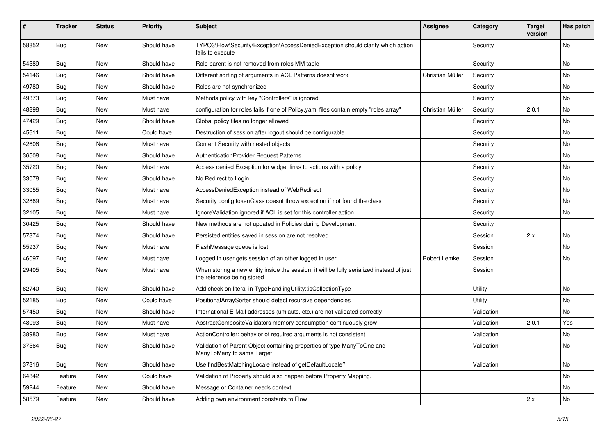| #     | <b>Tracker</b> | <b>Status</b> | <b>Priority</b> | <b>Subject</b>                                                                                                          | <b>Assignee</b>  | Category   | <b>Target</b><br>version | Has patch |
|-------|----------------|---------------|-----------------|-------------------------------------------------------------------------------------------------------------------------|------------------|------------|--------------------------|-----------|
| 58852 | <b>Bug</b>     | New           | Should have     | TYPO3\Flow\Security\Exception\AccessDeniedException should clarify which action<br>fails to execute                     |                  | Security   |                          | No        |
| 54589 | Bug            | New           | Should have     | Role parent is not removed from roles MM table                                                                          |                  | Security   |                          | No.       |
| 54146 | Bug            | <b>New</b>    | Should have     | Different sorting of arguments in ACL Patterns doesnt work                                                              | Christian Müller | Security   |                          | No        |
| 49780 | Bug            | New           | Should have     | Roles are not synchronized                                                                                              |                  | Security   |                          | No        |
| 49373 | <b>Bug</b>     | New           | Must have       | Methods policy with key "Controllers" is ignored                                                                        |                  | Security   |                          | No.       |
| 48898 | Bug            | New           | Must have       | configuration for roles fails if one of Policy yaml files contain empty "roles array"                                   | Christian Müller | Security   | 2.0.1                    | No        |
| 47429 | Bug            | New           | Should have     | Global policy files no longer allowed                                                                                   |                  | Security   |                          | No        |
| 45611 | Bug            | New           | Could have      | Destruction of session after logout should be configurable                                                              |                  | Security   |                          | No        |
| 42606 | Bug            | New           | Must have       | Content Security with nested objects                                                                                    |                  | Security   |                          | No        |
| 36508 | Bug            | New           | Should have     | AuthenticationProvider Request Patterns                                                                                 |                  | Security   |                          | No        |
| 35720 | <b>Bug</b>     | New           | Must have       | Access denied Exception for widget links to actions with a policy                                                       |                  | Security   |                          | No        |
| 33078 | <b>Bug</b>     | New           | Should have     | No Redirect to Login                                                                                                    |                  | Security   |                          | No        |
| 33055 | <b>Bug</b>     | <b>New</b>    | Must have       | AccessDeniedException instead of WebRedirect                                                                            |                  | Security   |                          | No.       |
| 32869 | Bug            | New           | Must have       | Security config tokenClass doesnt throw exception if not found the class                                                |                  | Security   |                          | No        |
| 32105 | Bug            | New           | Must have       | IgnoreValidation ignored if ACL is set for this controller action                                                       |                  | Security   |                          | No        |
| 30425 | <b>Bug</b>     | New           | Should have     | New methods are not updated in Policies during Development                                                              |                  | Security   |                          |           |
| 57374 | Bug            | New           | Should have     | Persisted entities saved in session are not resolved                                                                    |                  | Session    | 2.x                      | No        |
| 55937 | <b>Bug</b>     | New           | Must have       | FlashMessage queue is lost                                                                                              |                  | Session    |                          | No.       |
| 46097 | Bug            | New           | Must have       | Logged in user gets session of an other logged in user                                                                  | Robert Lemke     | Session    |                          | No        |
| 29405 | Bug            | New           | Must have       | When storing a new entity inside the session, it will be fully serialized instead of just<br>the reference being stored |                  | Session    |                          |           |
| 62740 | Bug            | New           | Should have     | Add check on literal in TypeHandlingUtility::isCollectionType                                                           |                  | Utility    |                          | No        |
| 52185 | Bug            | New           | Could have      | PositionalArraySorter should detect recursive dependencies                                                              |                  | Utility    |                          | No        |
| 57450 | <b>Bug</b>     | New           | Should have     | International E-Mail addresses (umlauts, etc.) are not validated correctly                                              |                  | Validation |                          | No        |
| 48093 | Bug            | New           | Must have       | AbstractCompositeValidators memory consumption continuously grow                                                        |                  | Validation | 2.0.1                    | Yes       |
| 38980 | <b>Bug</b>     | New           | Must have       | ActionController: behavior of required arguments is not consistent                                                      |                  | Validation |                          | No        |
| 37564 | Bug            | New           | Should have     | Validation of Parent Object containing properties of type ManyToOne and<br>ManyToMany to same Target                    |                  | Validation |                          | No        |
| 37316 | Bug            | New           | Should have     | Use findBestMatchingLocale instead of getDefaultLocale?                                                                 |                  | Validation |                          | No        |
| 64842 | Feature        | New           | Could have      | Validation of Property should also happen before Property Mapping.                                                      |                  |            |                          | No        |
| 59244 | Feature        | New           | Should have     | Message or Container needs context                                                                                      |                  |            |                          | No        |
| 58579 | Feature        | New           | Should have     | Adding own environment constants to Flow                                                                                |                  |            | 2.x                      | No        |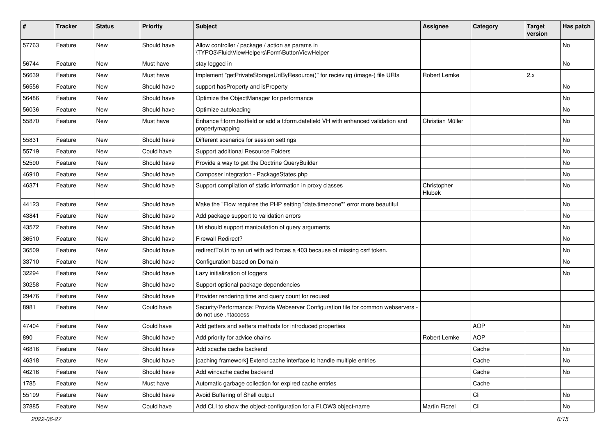| ∦     | <b>Tracker</b> | <b>Status</b> | <b>Priority</b> | Subject                                                                                                    | <b>Assignee</b>       | Category   | <b>Target</b><br>version | Has patch     |
|-------|----------------|---------------|-----------------|------------------------------------------------------------------------------------------------------------|-----------------------|------------|--------------------------|---------------|
| 57763 | Feature        | New           | Should have     | Allow controller / package / action as params in<br>\TYPO3\Fluid\ViewHelpers\Form\ButtonViewHelper         |                       |            |                          | No            |
| 56744 | Feature        | New           | Must have       | stay logged in                                                                                             |                       |            |                          | No            |
| 56639 | Feature        | <b>New</b>    | Must have       | Implement "getPrivateStorageUriByResource()" for recieving (image-) file URIs                              | Robert Lemke          |            | 2.x                      |               |
| 56556 | Feature        | New           | Should have     | support has Property and is Property                                                                       |                       |            |                          | No            |
| 56486 | Feature        | New           | Should have     | Optimize the ObjectManager for performance                                                                 |                       |            |                          | No            |
| 56036 | Feature        | New           | Should have     | Optimize autoloading                                                                                       |                       |            |                          | No            |
| 55870 | Feature        | New           | Must have       | Enhance f:form.textfield or add a f:form.datefield VH with enhanced validation and<br>propertymapping      | Christian Müller      |            |                          | No            |
| 55831 | Feature        | New           | Should have     | Different scenarios for session settings                                                                   |                       |            |                          | No            |
| 55719 | Feature        | New           | Could have      | Support additional Resource Folders                                                                        |                       |            |                          | No            |
| 52590 | Feature        | <b>New</b>    | Should have     | Provide a way to get the Doctrine QueryBuilder                                                             |                       |            |                          | No            |
| 46910 | Feature        | New           | Should have     | Composer integration - PackageStates.php                                                                   |                       |            |                          | No            |
| 46371 | Feature        | New           | Should have     | Support compilation of static information in proxy classes                                                 | Christopher<br>Hlubek |            |                          | No            |
| 44123 | Feature        | New           | Should have     | Make the "Flow requires the PHP setting "date.timezone"" error more beautiful                              |                       |            |                          | No            |
| 43841 | Feature        | New           | Should have     | Add package support to validation errors                                                                   |                       |            |                          | No            |
| 43572 | Feature        | New           | Should have     | Uri should support manipulation of query arguments                                                         |                       |            |                          | No            |
| 36510 | Feature        | New           | Should have     | <b>Firewall Redirect?</b>                                                                                  |                       |            |                          | No            |
| 36509 | Feature        | New           | Should have     | redirect ToUri to an uri with acl forces a 403 because of missing csrf token.                              |                       |            |                          | No            |
| 33710 | Feature        | New           | Should have     | Configuration based on Domain                                                                              |                       |            |                          | No            |
| 32294 | Feature        | New           | Should have     | Lazy initialization of loggers                                                                             |                       |            |                          | No            |
| 30258 | Feature        | New           | Should have     | Support optional package dependencies                                                                      |                       |            |                          |               |
| 29476 | Feature        | New           | Should have     | Provider rendering time and query count for request                                                        |                       |            |                          |               |
| 8981  | Feature        | New           | Could have      | Security/Performance: Provide Webserver Configuration file for common webservers -<br>do not use .htaccess |                       |            |                          |               |
| 47404 | Feature        | New           | Could have      | Add getters and setters methods for introduced properties                                                  |                       | <b>AOP</b> |                          | No            |
| 890   | Feature        | New           | Should have     | Add priority for advice chains                                                                             | Robert Lemke          | <b>AOP</b> |                          |               |
| 46816 | Feature        | New           | Should have     | Add xcache cache backend                                                                                   |                       | Cache      |                          | $\mathsf{No}$ |
| 46318 | Feature        | New           | Should have     | [caching framework] Extend cache interface to handle multiple entries                                      |                       | Cache      |                          | No            |
| 46216 | Feature        | New           | Should have     | Add wincache cache backend                                                                                 |                       | Cache      |                          | No            |
| 1785  | Feature        | New           | Must have       | Automatic garbage collection for expired cache entries                                                     |                       | Cache      |                          |               |
| 55199 | Feature        | New           | Should have     | Avoid Buffering of Shell output                                                                            |                       | Cli        |                          | No            |
| 37885 | Feature        | New           | Could have      | Add CLI to show the object-configuration for a FLOW3 object-name                                           | Martin Ficzel         | Cli        |                          | No            |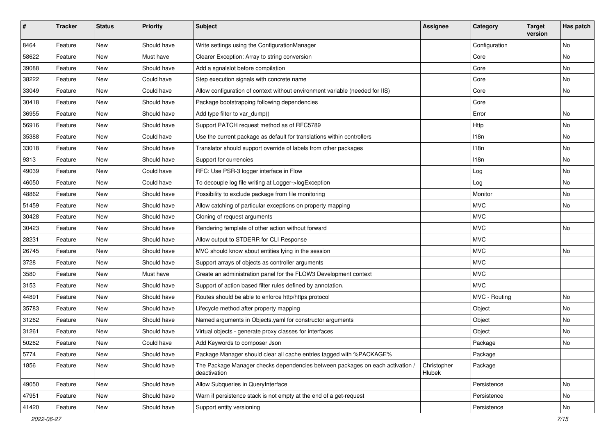| $\sharp$ | <b>Tracker</b> | <b>Status</b> | <b>Priority</b> | <b>Subject</b>                                                                                | <b>Assignee</b>       | Category      | <b>Target</b><br>version | Has patch |
|----------|----------------|---------------|-----------------|-----------------------------------------------------------------------------------------------|-----------------------|---------------|--------------------------|-----------|
| 8464     | Feature        | New           | Should have     | Write settings using the ConfigurationManager                                                 |                       | Configuration |                          | No        |
| 58622    | Feature        | New           | Must have       | Clearer Exception: Array to string conversion                                                 |                       | Core          |                          | No        |
| 39088    | Feature        | New           | Should have     | Add a sgnalslot before compilation                                                            |                       | Core          |                          | No        |
| 38222    | Feature        | New           | Could have      | Step execution signals with concrete name                                                     |                       | Core          |                          | No        |
| 33049    | Feature        | New           | Could have      | Allow configuration of context without environment variable (needed for IIS)                  |                       | Core          |                          | No        |
| 30418    | Feature        | New           | Should have     | Package bootstrapping following dependencies                                                  |                       | Core          |                          |           |
| 36955    | Feature        | New           | Should have     | Add type filter to var_dump()                                                                 |                       | Error         |                          | No        |
| 56916    | Feature        | New           | Should have     | Support PATCH request method as of RFC5789                                                    |                       | <b>Http</b>   |                          | No        |
| 35388    | Feature        | New           | Could have      | Use the current package as default for translations within controllers                        |                       | 118n          |                          | No        |
| 33018    | Feature        | New           | Should have     | Translator should support override of labels from other packages                              |                       | 118n          |                          | No        |
| 9313     | Feature        | New           | Should have     | Support for currencies                                                                        |                       | 118n          |                          | No        |
| 49039    | Feature        | New           | Could have      | RFC: Use PSR-3 logger interface in Flow                                                       |                       | Log           |                          | No        |
| 46050    | Feature        | New           | Could have      | To decouple log file writing at Logger->logException                                          |                       | Log           |                          | No        |
| 48862    | Feature        | New           | Should have     | Possibility to exclude package from file monitoring                                           |                       | Monitor       |                          | No        |
| 51459    | Feature        | New           | Should have     | Allow catching of particular exceptions on property mapping                                   |                       | <b>MVC</b>    |                          | No        |
| 30428    | Feature        | New           | Should have     | Cloning of request arguments                                                                  |                       | <b>MVC</b>    |                          |           |
| 30423    | Feature        | New           | Should have     | Rendering template of other action without forward                                            |                       | <b>MVC</b>    |                          | No        |
| 28231    | Feature        | New           | Should have     | Allow output to STDERR for CLI Response                                                       |                       | <b>MVC</b>    |                          |           |
| 26745    | Feature        | New           | Should have     | MVC should know about entities lying in the session                                           |                       | <b>MVC</b>    |                          | <b>No</b> |
| 3728     | Feature        | New           | Should have     | Support arrays of objects as controller arguments                                             |                       | <b>MVC</b>    |                          |           |
| 3580     | Feature        | New           | Must have       | Create an administration panel for the FLOW3 Development context                              |                       | <b>MVC</b>    |                          |           |
| 3153     | Feature        | New           | Should have     | Support of action based filter rules defined by annotation.                                   |                       | <b>MVC</b>    |                          |           |
| 44891    | Feature        | New           | Should have     | Routes should be able to enforce http/https protocol                                          |                       | MVC - Routing |                          | No        |
| 35783    | Feature        | New           | Should have     | Lifecycle method after property mapping                                                       |                       | Object        |                          | No        |
| 31262    | Feature        | New           | Should have     | Named arguments in Objects.yaml for constructor arguments                                     |                       | Object        |                          | No        |
| 31261    | Feature        | New           | Should have     | Virtual objects - generate proxy classes for interfaces                                       |                       | Object        |                          | No        |
| 50262    | Feature        | New           | Could have      | Add Keywords to composer Json                                                                 |                       | Package       |                          | No        |
| 5774     | Feature        | New           | Should have     | Package Manager should clear all cache entries tagged with %PACKAGE%                          |                       | Package       |                          |           |
| 1856     | Feature        | New           | Should have     | The Package Manager checks dependencies between packages on each activation /<br>deactivation | Christopher<br>Hlubek | Package       |                          |           |
| 49050    | Feature        | New           | Should have     | Allow Subqueries in QueryInterface                                                            |                       | Persistence   |                          | No        |
| 47951    | Feature        | New           | Should have     | Warn if persistence stack is not empty at the end of a get-request                            |                       | Persistence   |                          | No        |
| 41420    | Feature        | New           | Should have     | Support entity versioning                                                                     |                       | Persistence   |                          | No        |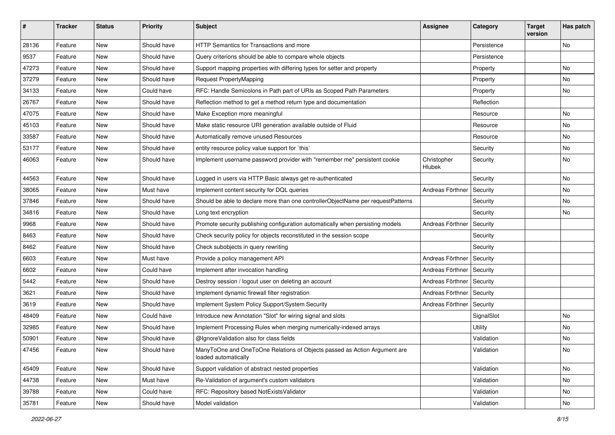| $\sharp$ | <b>Tracker</b> | <b>Status</b> | <b>Priority</b> | <b>Subject</b>                                                                                    | <b>Assignee</b>       | Category    | <b>Target</b><br>version | Has patch |
|----------|----------------|---------------|-----------------|---------------------------------------------------------------------------------------------------|-----------------------|-------------|--------------------------|-----------|
| 28136    | Feature        | New           | Should have     | HTTP Semantics for Transactions and more                                                          |                       | Persistence |                          | No        |
| 9537     | Feature        | New           | Should have     | Query criterions should be able to compare whole objects                                          |                       | Persistence |                          |           |
| 47273    | Feature        | New           | Should have     | Support mapping properties with differing types for setter and property                           |                       | Property    |                          | No        |
| 37279    | Feature        | New           | Should have     | <b>Request PropertyMapping</b>                                                                    |                       | Property    |                          | No        |
| 34133    | Feature        | New           | Could have      | RFC: Handle Semicolons in Path part of URIs as Scoped Path Parameters                             |                       | Property    |                          | No        |
| 26767    | Feature        | New           | Should have     | Reflection method to get a method return type and documentation                                   |                       | Reflection  |                          |           |
| 47075    | Feature        | New           | Should have     | Make Exception more meaningful                                                                    |                       | Resource    |                          | No        |
| 45103    | Feature        | New           | Should have     | Make static resource URI generation available outside of Fluid                                    |                       | Resource    |                          | No        |
| 33587    | Feature        | New           | Should have     | Automatically remove unused Resources                                                             |                       | Resource    |                          | No        |
| 53177    | Feature        | New           | Should have     | entity resource policy value support for `this`                                                   |                       | Security    |                          | No        |
| 46063    | Feature        | New           | Should have     | Implement username password provider with "remember me" persistent cookie                         | Christopher<br>Hlubek | Security    |                          | No        |
| 44563    | Feature        | New           | Should have     | Logged in users via HTTP Basic always get re-authenticated                                        |                       | Security    |                          | No        |
| 38065    | Feature        | <b>New</b>    | Must have       | Implement content security for DQL queries                                                        | Andreas Förthner      | Security    |                          | <b>No</b> |
| 37846    | Feature        | New           | Should have     | Should be able to declare more than one controllerObjectName per requestPatterns                  |                       | Security    |                          | No        |
| 34816    | Feature        | New           | Should have     | Long text encryption                                                                              |                       | Security    |                          | No        |
| 9968     | Feature        | New           | Should have     | Promote security publishing configuration automatically when persisting models                    | Andreas Förthner      | Security    |                          |           |
| 8463     | Feature        | New           | Should have     | Check security policy for objects reconstituted in the session scope                              |                       | Security    |                          |           |
| 8462     | Feature        | New           | Should have     | Check subobjects in query rewriting                                                               |                       | Security    |                          |           |
| 6603     | Feature        | New           | Must have       | Provide a policy management API                                                                   | Andreas Förthner      | Security    |                          |           |
| 6602     | Feature        | New           | Could have      | Implement after invocation handling                                                               | Andreas Förthner      | Security    |                          |           |
| 5442     | Feature        | New           | Should have     | Destroy session / logout user on deleting an account                                              | Andreas Förthner      | Security    |                          |           |
| 3621     | Feature        | New           | Should have     | Implement dynamic firewall filter registration                                                    | Andreas Förthner      | Security    |                          |           |
| 3619     | Feature        | New           | Should have     | Implement System Policy Support/System Security                                                   | Andreas Förthner      | Security    |                          |           |
| 48409    | Feature        | New           | Could have      | Introduce new Annotation "Slot" for wiring signal and slots                                       |                       | SignalSlot  |                          | No        |
| 32985    | Feature        | New           | Should have     | Implement Processing Rules when merging numerically-indexed arrays                                |                       | Utility     |                          | No        |
| 50901    | Feature        | New           | Should have     | @IgnoreValidation also for class fields                                                           |                       | Validation  |                          | No        |
| 47456    | Feature        | New           | Should have     | ManyToOne and OneToOne Relations of Objects passed as Action Argument are<br>loaded automatically |                       | Validation  |                          | No        |
| 45409    | Feature        | <b>New</b>    | Should have     | Support validation of abstract nested properties                                                  |                       | Validation  |                          | No        |
| 44738    | Feature        | New           | Must have       | Re-Validation of argument's custom validators                                                     |                       | Validation  |                          | No        |
| 39788    | Feature        | New           | Could have      | RFC: Repository based NotExistsValidator                                                          |                       | Validation  |                          | No        |
| 35781    | Feature        | New           | Should have     | Model validation                                                                                  |                       | Validation  |                          | No        |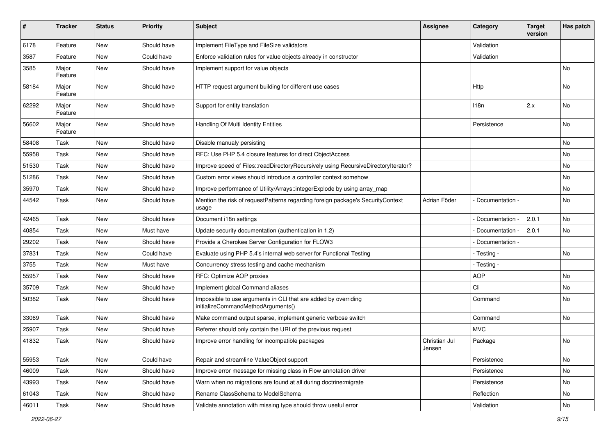| #     | <b>Tracker</b>   | <b>Status</b> | <b>Priority</b> | <b>Subject</b>                                                                                        | Assignee                | Category        | <b>Target</b><br>version | Has patch |
|-------|------------------|---------------|-----------------|-------------------------------------------------------------------------------------------------------|-------------------------|-----------------|--------------------------|-----------|
| 6178  | Feature          | <b>New</b>    | Should have     | Implement FileType and FileSize validators                                                            |                         | Validation      |                          |           |
| 3587  | Feature          | New           | Could have      | Enforce validation rules for value objects already in constructor                                     |                         | Validation      |                          |           |
| 3585  | Major<br>Feature | New           | Should have     | Implement support for value objects                                                                   |                         |                 |                          | No        |
| 58184 | Major<br>Feature | <b>New</b>    | Should have     | HTTP request argument building for different use cases                                                |                         | Http            |                          | No        |
| 62292 | Major<br>Feature | <b>New</b>    | Should have     | Support for entity translation                                                                        |                         | 118n            | 2.x                      | No        |
| 56602 | Major<br>Feature | <b>New</b>    | Should have     | Handling Of Multi Identity Entities                                                                   |                         | Persistence     |                          | No.       |
| 58408 | Task             | New           | Should have     | Disable manualy persisting                                                                            |                         |                 |                          | No.       |
| 55958 | Task             | <b>New</b>    | Should have     | RFC: Use PHP 5.4 closure features for direct ObjectAccess                                             |                         |                 |                          | No        |
| 51530 | Task             | New           | Should have     | Improve speed of Files::readDirectoryRecursively using RecursiveDirectoryIterator?                    |                         |                 |                          | No        |
| 51286 | Task             | New           | Should have     | Custom error views should introduce a controller context somehow                                      |                         |                 |                          | No.       |
| 35970 | Task             | New           | Should have     | Improve performance of Utility/Arrays::integerExplode by using array map                              |                         |                 |                          | No        |
| 44542 | Task             | New           | Should have     | Mention the risk of requestPatterns regarding foreign package's SecurityContext<br>usage              | Adrian Föder            | Documentation - |                          | No        |
| 42465 | Task             | New           | Should have     | Document i18n settings                                                                                |                         | Documentation - | 2.0.1                    | No        |
| 40854 | Task             | New           | Must have       | Update security documentation (authentication in 1.2)                                                 |                         | Documentation - | 2.0.1                    | No        |
| 29202 | Task             | New           | Should have     | Provide a Cherokee Server Configuration for FLOW3                                                     |                         | Documentation - |                          |           |
| 37831 | Task             | New           | Could have      | Evaluate using PHP 5.4's internal web server for Functional Testing                                   |                         | - Testing -     |                          | No        |
| 3755  | Task             | New           | Must have       | Concurrency stress testing and cache mechanism                                                        |                         | - Testing -     |                          |           |
| 55957 | Task             | New           | Should have     | RFC: Optimize AOP proxies                                                                             |                         | <b>AOP</b>      |                          | No        |
| 35709 | Task             | <b>New</b>    | Should have     | Implement global Command aliases                                                                      |                         | Cli             |                          | No        |
| 50382 | Task             | New           | Should have     | Impossible to use arguments in CLI that are added by overriding<br>initializeCommandMethodArguments() |                         | Command         |                          | No        |
| 33069 | Task             | New           | Should have     | Make command output sparse, implement generic verbose switch                                          |                         | Command         |                          | No        |
| 25907 | Task             | New           | Should have     | Referrer should only contain the URI of the previous request                                          |                         | <b>MVC</b>      |                          |           |
| 41832 | Task             | New           | Should have     | Improve error handling for incompatible packages                                                      | Christian Jul<br>Jensen | Package         |                          | No        |
| 55953 | Task             | New           | Could have      | Repair and streamline ValueObject support                                                             |                         | Persistence     |                          | No        |
| 46009 | Task             | New           | Should have     | Improve error message for missing class in Flow annotation driver                                     |                         | Persistence     |                          | No        |
| 43993 | Task             | New           | Should have     | Warn when no migrations are found at all during doctrine: migrate                                     |                         | Persistence     |                          | No        |
| 61043 | Task             | New           | Should have     | Rename ClassSchema to ModelSchema                                                                     |                         | Reflection      |                          | No        |
| 46011 | Task             | New           | Should have     | Validate annotation with missing type should throw useful error                                       |                         | Validation      |                          | No        |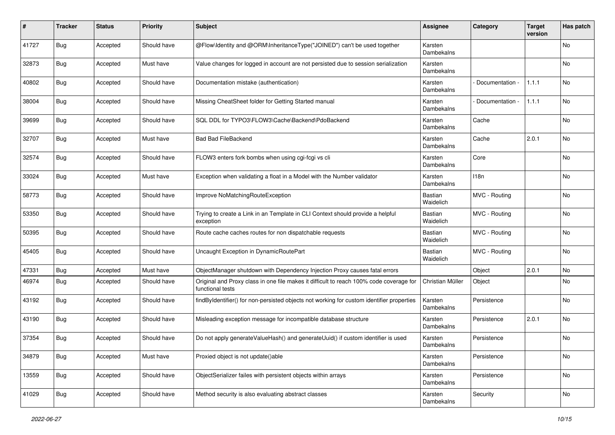| #     | <b>Tracker</b> | <b>Status</b> | <b>Priority</b> | <b>Subject</b>                                                                                              | <b>Assignee</b>             | Category        | <b>Target</b><br>version | Has patch |
|-------|----------------|---------------|-----------------|-------------------------------------------------------------------------------------------------------------|-----------------------------|-----------------|--------------------------|-----------|
| 41727 | <b>Bug</b>     | Accepted      | Should have     | @Flow\Identity and @ORM\InheritanceType("JOINED") can't be used together                                    | Karsten<br>Dambekalns       |                 |                          | No        |
| 32873 | Bug            | Accepted      | Must have       | Value changes for logged in account are not persisted due to session serialization                          | Karsten<br>Dambekalns       |                 |                          | No        |
| 40802 | Bug            | Accepted      | Should have     | Documentation mistake (authentication)                                                                      | Karsten<br>Dambekalns       | Documentation - | 1.1.1                    | No        |
| 38004 | Bug            | Accepted      | Should have     | Missing CheatSheet folder for Getting Started manual                                                        | Karsten<br>Dambekalns       | Documentation - | 1.1.1                    | No        |
| 39699 | <b>Bug</b>     | Accepted      | Should have     | SQL DDL for TYPO3\FLOW3\Cache\Backend\PdoBackend                                                            | Karsten<br>Dambekalns       | Cache           |                          | No        |
| 32707 | Bug            | Accepted      | Must have       | <b>Bad Bad FileBackend</b>                                                                                  | Karsten<br>Dambekalns       | Cache           | 2.0.1                    | No        |
| 32574 | <b>Bug</b>     | Accepted      | Should have     | FLOW3 enters fork bombs when using cgi-fcgi vs cli                                                          | Karsten<br>Dambekalns       | Core            |                          | No        |
| 33024 | <b>Bug</b>     | Accepted      | Must have       | Exception when validating a float in a Model with the Number validator                                      | Karsten<br>Dambekalns       | 118n            |                          | No        |
| 58773 | <b>Bug</b>     | Accepted      | Should have     | Improve NoMatchingRouteException                                                                            | <b>Bastian</b><br>Waidelich | MVC - Routing   |                          | No        |
| 53350 | Bug            | Accepted      | Should have     | Trying to create a Link in an Template in CLI Context should provide a helpful<br>exception                 | Bastian<br>Waidelich        | MVC - Routing   |                          | No        |
| 50395 | Bug            | Accepted      | Should have     | Route cache caches routes for non dispatchable requests                                                     | <b>Bastian</b><br>Waidelich | MVC - Routing   |                          | No        |
| 45405 | <b>Bug</b>     | Accepted      | Should have     | Uncaught Exception in DynamicRoutePart                                                                      | <b>Bastian</b><br>Waidelich | MVC - Routing   |                          | No        |
| 47331 | <b>Bug</b>     | Accepted      | Must have       | ObjectManager shutdown with Dependency Injection Proxy causes fatal errors                                  |                             | Object          | 2.0.1                    | No        |
| 46974 | <b>Bug</b>     | Accepted      | Should have     | Original and Proxy class in one file makes it difficult to reach 100% code coverage for<br>functional tests | Christian Müller            | Object          |                          | No        |
| 43192 | <b>Bug</b>     | Accepted      | Should have     | findByIdentifier() for non-persisted objects not working for custom identifier properties                   | Karsten<br>Dambekalns       | Persistence     |                          | <b>No</b> |
| 43190 | Bug            | Accepted      | Should have     | Misleading exception message for incompatible database structure                                            | Karsten<br>Dambekalns       | Persistence     | 2.0.1                    | No        |
| 37354 | <b>Bug</b>     | Accepted      | Should have     | Do not apply generateValueHash() and generateUuid() if custom identifier is used                            | Karsten<br>Dambekalns       | Persistence     |                          | No        |
| 34879 | Bug            | Accepted      | Must have       | Proxied object is not update()able                                                                          | Karsten<br>Dambekalns       | Persistence     |                          | No        |
| 13559 | <b>Bug</b>     | Accepted      | Should have     | ObjectSerializer failes with persistent objects within arrays                                               | Karsten<br>Dambekalns       | Persistence     |                          | No        |
| 41029 | <b>Bug</b>     | Accepted      | Should have     | Method security is also evaluating abstract classes                                                         | Karsten<br>Dambekalns       | Security        |                          | No        |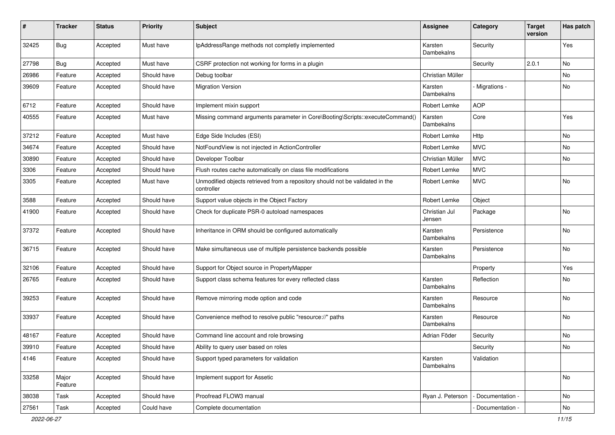| #     | <b>Tracker</b>   | <b>Status</b> | <b>Priority</b> | <b>Subject</b>                                                                              | Assignee                | Category          | <b>Target</b><br>version | Has patch |
|-------|------------------|---------------|-----------------|---------------------------------------------------------------------------------------------|-------------------------|-------------------|--------------------------|-----------|
| 32425 | Bug              | Accepted      | Must have       | IpAddressRange methods not completly implemented                                            | Karsten<br>Dambekalns   | Security          |                          | Yes       |
| 27798 | Bug              | Accepted      | Must have       | CSRF protection not working for forms in a plugin                                           |                         | Security          | 2.0.1                    | No        |
| 26986 | Feature          | Accepted      | Should have     | Debug toolbar                                                                               | Christian Müller        |                   |                          | No        |
| 39609 | Feature          | Accepted      | Should have     | <b>Migration Version</b>                                                                    | Karsten<br>Dambekalns   | Migrations -      |                          | No        |
| 6712  | Feature          | Accepted      | Should have     | Implement mixin support                                                                     | Robert Lemke            | <b>AOP</b>        |                          |           |
| 40555 | Feature          | Accepted      | Must have       | Missing command arguments parameter in Core\Booting\Scripts::executeCommand()               | Karsten<br>Dambekalns   | Core              |                          | Yes       |
| 37212 | Feature          | Accepted      | Must have       | Edge Side Includes (ESI)                                                                    | Robert Lemke            | Http              |                          | No        |
| 34674 | Feature          | Accepted      | Should have     | NotFoundView is not injected in ActionController                                            | Robert Lemke            | <b>MVC</b>        |                          | No        |
| 30890 | Feature          | Accepted      | Should have     | Developer Toolbar                                                                           | Christian Müller        | <b>MVC</b>        |                          | No        |
| 3306  | Feature          | Accepted      | Should have     | Flush routes cache automatically on class file modifications                                | Robert Lemke            | <b>MVC</b>        |                          |           |
| 3305  | Feature          | Accepted      | Must have       | Unmodified objects retrieved from a repository should not be validated in the<br>controller | Robert Lemke            | <b>MVC</b>        |                          | No        |
| 3588  | Feature          | Accepted      | Should have     | Support value objects in the Object Factory                                                 | Robert Lemke            | Object            |                          |           |
| 41900 | Feature          | Accepted      | Should have     | Check for duplicate PSR-0 autoload namespaces                                               | Christian Jul<br>Jensen | Package           |                          | No        |
| 37372 | Feature          | Accepted      | Should have     | Inheritance in ORM should be configured automatically                                       | Karsten<br>Dambekalns   | Persistence       |                          | No        |
| 36715 | Feature          | Accepted      | Should have     | Make simultaneous use of multiple persistence backends possible                             | Karsten<br>Dambekalns   | Persistence       |                          | No        |
| 32106 | Feature          | Accepted      | Should have     | Support for Object source in PropertyMapper                                                 |                         | Property          |                          | Yes       |
| 26765 | Feature          | Accepted      | Should have     | Support class schema features for every reflected class                                     | Karsten<br>Dambekalns   | Reflection        |                          | No        |
| 39253 | Feature          | Accepted      | Should have     | Remove mirroring mode option and code                                                       | Karsten<br>Dambekalns   | Resource          |                          | No        |
| 33937 | Feature          | Accepted      | Should have     | Convenience method to resolve public "resource://" paths                                    | Karsten<br>Dambekalns   | Resource          |                          | No        |
| 48167 | Feature          | Accepted      | Should have     | Command line account and role browsing                                                      | Adrian Föder            | Security          |                          | No        |
| 39910 | Feature          | Accepted      | Should have     | Ability to query user based on roles                                                        |                         | Security          |                          | No        |
| 4146  | Feature          | Accepted      | Should have     | Support typed parameters for validation                                                     | Karsten<br>Dambekalns   | Validation        |                          |           |
| 33258 | Major<br>Feature | Accepted      | Should have     | Implement support for Assetic                                                               |                         |                   |                          | No        |
| 38038 | Task             | Accepted      | Should have     | Proofread FLOW3 manual                                                                      | Ryan J. Peterson        | - Documentation - |                          | No        |
| 27561 | Task             | Accepted      | Could have      | Complete documentation                                                                      |                         | - Documentation - |                          | No        |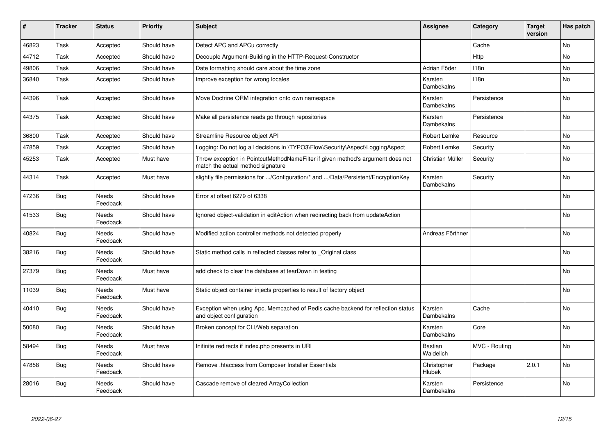| #     | <b>Tracker</b> | <b>Status</b>            | <b>Priority</b> | <b>Subject</b>                                                                                                       | Assignee                    | Category         | <b>Target</b><br>version | Has patch |
|-------|----------------|--------------------------|-----------------|----------------------------------------------------------------------------------------------------------------------|-----------------------------|------------------|--------------------------|-----------|
| 46823 | Task           | Accepted                 | Should have     | Detect APC and APCu correctly                                                                                        |                             | Cache            |                          | <b>No</b> |
| 44712 | Task           | Accepted                 | Should have     | Decouple Argument-Building in the HTTP-Request-Constructor                                                           |                             | Http             |                          | No        |
| 49806 | Task           | Accepted                 | Should have     | Date formatting should care about the time zone                                                                      | Adrian Föder                | 118 <sub>n</sub> |                          | No        |
| 36840 | Task           | Accepted                 | Should have     | Improve exception for wrong locales                                                                                  | Karsten<br>Dambekalns       | 118n             |                          | No        |
| 44396 | Task           | Accepted                 | Should have     | Move Doctrine ORM integration onto own namespace                                                                     | Karsten<br>Dambekalns       | Persistence      |                          | No        |
| 44375 | Task           | Accepted                 | Should have     | Make all persistence reads go through repositories                                                                   | Karsten<br>Dambekalns       | Persistence      |                          | No        |
| 36800 | Task           | Accepted                 | Should have     | Streamline Resource object API                                                                                       | Robert Lemke                | Resource         |                          | No        |
| 47859 | Task           | Accepted                 | Should have     | Logging: Do not log all decisions in \TYPO3\Flow\Security\Aspect\LoggingAspect                                       | Robert Lemke                | Security         |                          | No        |
| 45253 | Task           | Accepted                 | Must have       | Throw exception in PointcutMethodNameFilter if given method's argument does not<br>match the actual method signature | Christian Müller            | Security         |                          | No        |
| 44314 | Task           | Accepted                 | Must have       | slightly file permissions for /Configuration/* and /Data/Persistent/EncryptionKey                                    | Karsten<br>Dambekalns       | Security         |                          | <b>No</b> |
| 47236 | Bug            | Needs<br>Feedback        | Should have     | Error at offset 6279 of 6338                                                                                         |                             |                  |                          | <b>No</b> |
| 41533 | Bug            | Needs<br>Feedback        | Should have     | Ignored object-validation in editAction when redirecting back from updateAction                                      |                             |                  |                          | No        |
| 40824 | <b>Bug</b>     | Needs<br>Feedback        | Should have     | Modified action controller methods not detected properly                                                             | Andreas Förthner            |                  |                          | No        |
| 38216 | <b>Bug</b>     | Needs<br>Feedback        | Should have     | Static method calls in reflected classes refer to _Original class                                                    |                             |                  |                          | <b>No</b> |
| 27379 | Bug            | <b>Needs</b><br>Feedback | Must have       | add check to clear the database at tearDown in testing                                                               |                             |                  |                          | <b>No</b> |
| 11039 | <b>Bug</b>     | Needs<br>Feedback        | Must have       | Static object container injects properties to result of factory object                                               |                             |                  |                          | No        |
| 40410 | <b>Bug</b>     | Needs<br>Feedback        | Should have     | Exception when using Apc, Memcached of Redis cache backend for reflection status<br>and object configuration         | Karsten<br>Dambekalns       | Cache            |                          | No        |
| 50080 | <b>Bug</b>     | <b>Needs</b><br>Feedback | Should have     | Broken concept for CLI/Web separation                                                                                | Karsten<br>Dambekalns       | Core             |                          | <b>No</b> |
| 58494 | <b>Bug</b>     | <b>Needs</b><br>Feedback | Must have       | Inifinite redirects if index.php presents in URI                                                                     | <b>Bastian</b><br>Waidelich | MVC - Routing    |                          | <b>No</b> |
| 47858 | Bug            | <b>Needs</b><br>Feedback | Should have     | Remove .htaccess from Composer Installer Essentials                                                                  | Christopher<br>Hlubek       | Package          | 2.0.1                    | No        |
| 28016 | <b>Bug</b>     | Needs<br>Feedback        | Should have     | Cascade remove of cleared ArrayCollection                                                                            | Karsten<br>Dambekalns       | Persistence      |                          | No        |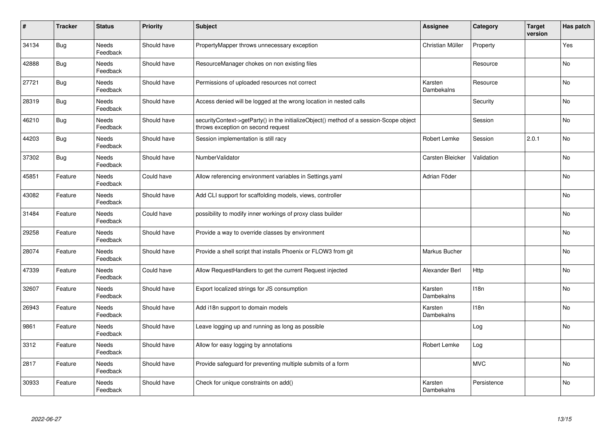| #     | <b>Tracker</b> | <b>Status</b>            | <b>Priority</b> | <b>Subject</b>                                                                                                               | <b>Assignee</b>       | Category    | <b>Target</b><br>version | Has patch |
|-------|----------------|--------------------------|-----------------|------------------------------------------------------------------------------------------------------------------------------|-----------------------|-------------|--------------------------|-----------|
| 34134 | <b>Bug</b>     | Needs<br>Feedback        | Should have     | PropertyMapper throws unnecessary exception                                                                                  | Christian Müller      | Property    |                          | Yes       |
| 42888 | <b>Bug</b>     | Needs<br>Feedback        | Should have     | ResourceManager chokes on non existing files                                                                                 |                       | Resource    |                          | No        |
| 27721 | <b>Bug</b>     | Needs<br>Feedback        | Should have     | Permissions of uploaded resources not correct                                                                                | Karsten<br>Dambekalns | Resource    |                          | No        |
| 28319 | <b>Bug</b>     | Needs<br>Feedback        | Should have     | Access denied will be logged at the wrong location in nested calls                                                           |                       | Security    |                          | No        |
| 46210 | Bug            | <b>Needs</b><br>Feedback | Should have     | securityContext->getParty() in the initializeObject() method of a session-Scope object<br>throws exception on second request |                       | Session     |                          | <b>No</b> |
| 44203 | <b>Bug</b>     | Needs<br>Feedback        | Should have     | Session implementation is still racy                                                                                         | Robert Lemke          | Session     | 2.0.1                    | No        |
| 37302 | Bug            | Needs<br>Feedback        | Should have     | NumberValidator                                                                                                              | Carsten Bleicker      | Validation  |                          | <b>No</b> |
| 45851 | Feature        | Needs<br>Feedback        | Could have      | Allow referencing environment variables in Settings yaml                                                                     | Adrian Föder          |             |                          | <b>No</b> |
| 43082 | Feature        | <b>Needs</b><br>Feedback | Should have     | Add CLI support for scaffolding models, views, controller                                                                    |                       |             |                          | <b>No</b> |
| 31484 | Feature        | Needs<br>Feedback        | Could have      | possibility to modify inner workings of proxy class builder                                                                  |                       |             |                          | No        |
| 29258 | Feature        | Needs<br>Feedback        | Should have     | Provide a way to override classes by environment                                                                             |                       |             |                          | <b>No</b> |
| 28074 | Feature        | Needs<br>Feedback        | Should have     | Provide a shell script that installs Phoenix or FLOW3 from git                                                               | Markus Bucher         |             |                          | <b>No</b> |
| 47339 | Feature        | <b>Needs</b><br>Feedback | Could have      | Allow RequestHandlers to get the current Request injected                                                                    | Alexander Berl        | Http        |                          | <b>No</b> |
| 32607 | Feature        | <b>Needs</b><br>Feedback | Should have     | Export localized strings for JS consumption                                                                                  | Karsten<br>Dambekalns | 118n        |                          | No        |
| 26943 | Feature        | Needs<br>Feedback        | Should have     | Add i18n support to domain models                                                                                            | Karsten<br>Dambekalns | 118n        |                          | No        |
| 9861  | Feature        | Needs<br>Feedback        | Should have     | Leave logging up and running as long as possible                                                                             |                       | Log         |                          | No        |
| 3312  | Feature        | Needs<br>Feedback        | Should have     | Allow for easy logging by annotations                                                                                        | <b>Robert Lemke</b>   | Log         |                          |           |
| 2817  | Feature        | <b>Needs</b><br>Feedback | Should have     | Provide safequard for preventing multiple submits of a form                                                                  |                       | <b>MVC</b>  |                          | <b>No</b> |
| 30933 | Feature        | Needs<br>Feedback        | Should have     | Check for unique constraints on add()                                                                                        | Karsten<br>Dambekalns | Persistence |                          | <b>No</b> |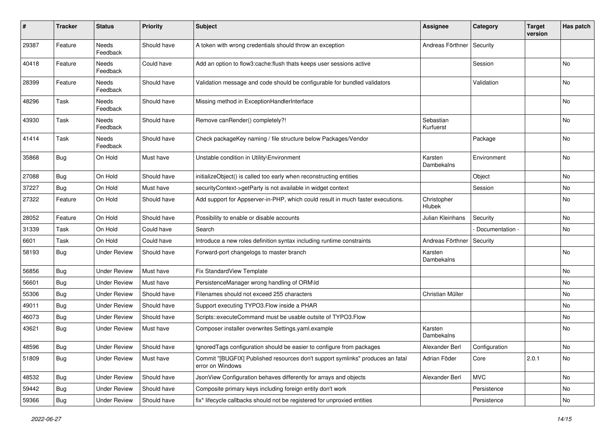| $\sharp$ | Tracker    | <b>Status</b>       | <b>Priority</b> | Subject                                                                                            | <b>Assignee</b>        | Category        | <b>Target</b><br>version | Has patch     |
|----------|------------|---------------------|-----------------|----------------------------------------------------------------------------------------------------|------------------------|-----------------|--------------------------|---------------|
| 29387    | Feature    | Needs<br>Feedback   | Should have     | A token with wrong credentials should throw an exception                                           | Andreas Förthner       | Security        |                          |               |
| 40418    | Feature    | Needs<br>Feedback   | Could have      | Add an option to flow3:cache:flush thats keeps user sessions active                                |                        | Session         |                          | No            |
| 28399    | Feature    | Needs<br>Feedback   | Should have     | Validation message and code should be configurable for bundled validators                          |                        | Validation      |                          | No            |
| 48296    | Task       | Needs<br>Feedback   | Should have     | Missing method in ExceptionHandlerInterface                                                        |                        |                 |                          | No            |
| 43930    | Task       | Needs<br>Feedback   | Should have     | Remove canRender() completely?!                                                                    | Sebastian<br>Kurfuerst |                 |                          | No            |
| 41414    | Task       | Needs<br>Feedback   | Should have     | Check packageKey naming / file structure below Packages/Vendor                                     |                        | Package         |                          | No            |
| 35868    | Bug        | On Hold             | Must have       | Unstable condition in Utility\Environment                                                          | Karsten<br>Dambekalns  | Environment     |                          | No            |
| 27088    | Bug        | On Hold             | Should have     | initializeObject() is called too early when reconstructing entities                                |                        | Object          |                          | No            |
| 37227    | Bug        | On Hold             | Must have       | securityContext->getParty is not available in widget context                                       |                        | Session         |                          | No            |
| 27322    | Feature    | On Hold             | Should have     | Add support for Appserver-in-PHP, which could result in much faster executions.                    | Christopher<br>Hlubek  |                 |                          | No            |
| 28052    | Feature    | On Hold             | Should have     | Possibility to enable or disable accounts                                                          | Julian Kleinhans       | Security        |                          | No            |
| 31339    | Task       | On Hold             | Could have      | Search                                                                                             |                        | Documentation - |                          | No            |
| 6601     | Task       | On Hold             | Could have      | Introduce a new roles definition syntax including runtime constraints                              | Andreas Förthner       | Security        |                          |               |
| 58193    | <b>Bug</b> | <b>Under Review</b> | Should have     | Forward-port changelogs to master branch                                                           | Karsten<br>Dambekalns  |                 |                          | No            |
| 56856    | <b>Bug</b> | <b>Under Review</b> | Must have       | Fix StandardView Template                                                                          |                        |                 |                          | No            |
| 56601    | <b>Bug</b> | <b>Under Review</b> | Must have       | PersistenceManager wrong handling of ORM\ld                                                        |                        |                 |                          | No            |
| 55306    | <b>Bug</b> | <b>Under Review</b> | Should have     | Filenames should not exceed 255 characters                                                         | Christian Müller       |                 |                          | No            |
| 49011    | <b>Bug</b> | <b>Under Review</b> | Should have     | Support executing TYPO3. Flow inside a PHAR                                                        |                        |                 |                          | No.           |
| 46073    | <b>Bug</b> | <b>Under Review</b> | Should have     | Scripts::executeCommand must be usable outsite of TYPO3.Flow                                       |                        |                 |                          | No            |
| 43621    | <b>Bug</b> | Under Review        | Must have       | Composer installer overwrites Settings.yaml.example                                                | Karsten<br>Dambekalns  |                 |                          | No            |
| 48596    | Bug        | <b>Under Review</b> | Should have     | IgnoredTags configuration should be easier to configure from packages                              | Alexander Berl         | Configuration   |                          | $\mathsf{No}$ |
| 51809    | Bug        | <b>Under Review</b> | Must have       | Commit "[BUGFIX] Published resources don't support symlinks" produces an fatal<br>error on Windows | Adrian Föder           | Core            | 2.0.1                    | No            |
| 48532    | <b>Bug</b> | <b>Under Review</b> | Should have     | JsonView Configuration behaves differently for arrays and objects                                  | Alexander Berl         | <b>MVC</b>      |                          | No            |
| 59442    | <b>Bug</b> | <b>Under Review</b> | Should have     | Composite primary keys including foreign entity don't work                                         |                        | Persistence     |                          | No            |
| 59366    | <b>Bug</b> | <b>Under Review</b> | Should have     | fix* lifecycle callbacks should not be registered for unproxied entities                           |                        | Persistence     |                          | No            |